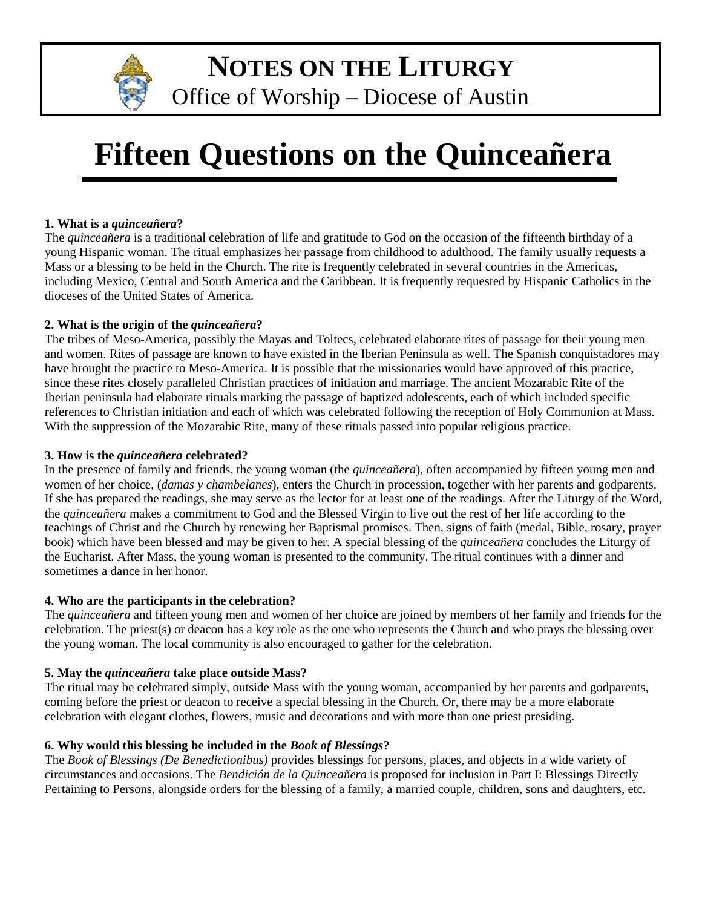

**NOTES ON THE LITURGY**

Office of Worship – Diocese of Austin

# **Fifteen Questions on the Quinceañera**

### **1. What is a** *quinceañera***?**

The *quinceañera* is a traditional celebration of life and gratitude to God on the occasion of the fifteenth birthday of a young Hispanic woman. The ritual emphasizes her passage from childhood to adulthood. The family usually requests a Mass or a blessing to be held in the Church. The rite is frequently celebrated in several countries in the Americas, including Mexico, Central and South America and the Caribbean. It is frequently requested by Hispanic Catholics in the dioceses of the United States of America.

### **2. What is the origin of the** *quinceañera***?**

The tribes of Meso-America, possibly the Mayas and Toltecs, celebrated elaborate rites of passage for their young men and women. Rites of passage are known to have existed in the Iberian Peninsula as well. The Spanish conquistadores may have brought the practice to Meso-America. It is possible that the missionaries would have approved of this practice, since these rites closely paralleled Christian practices of initiation and marriage. The ancient Mozarabic Rite of the Iberian peninsula had elaborate rituals marking the passage of baptized adolescents, each of which included specific references to Christian initiation and each of which was celebrated following the reception of Holy Communion at Mass. With the suppression of the Mozarabic Rite, many of these rituals passed into popular religious practice.

#### **3. How is the** *quinceañera* **celebrated?**

In the presence of family and friends, the young woman (the *quinceañera*), often accompanied by fifteen young men and women of her choice, (*damas y chambelanes*), enters the Church in procession, together with her parents and godparents. If she has prepared the readings, she may serve as the lector for at least one of the readings. After the Liturgy of the Word, the *quinceañera* makes a commitment to God and the Blessed Virgin to live out the rest of her life according to the teachings of Christ and the Church by renewing her Baptismal promises. Then, signs of faith (medal, Bible, rosary, prayer book) which have been blessed and may be given to her. A special blessing of the *quinceañera* concludes the Liturgy of the Eucharist. After Mass, the young woman is presented to the community. The ritual continues with a dinner and sometimes a dance in her honor.

#### **4. Who are the participants in the celebration?**

The *quinceañera* and fifteen young men and women of her choice are joined by members of her family and friends for the celebration. The priest(s) or deacon has a key role as the one who represents the Church and who prays the blessing over the young woman. The local community is also encouraged to gather for the celebration.

#### **5. May the** *quinceañera* **take place outside Mass?**

The ritual may be celebrated simply, outside Mass with the young woman, accompanied by her parents and godparents, coming before the priest or deacon to receive a special blessing in the Church. Or, there may be a more elaborate celebration with elegant clothes, flowers, music and decorations and with more than one priest presiding.

# **6. Why would this blessing be included in the** *Book of Blessings***?**

The *Book of Blessings (De Benedictionibus)* provides blessings for persons, places, and objects in a wide variety of circumstances and occasions. The *Bendición de la Quinceañera* is proposed for inclusion in Part I: Blessings Directly Pertaining to Persons, alongside orders for the blessing of a family, a married couple, children, sons and daughters, etc.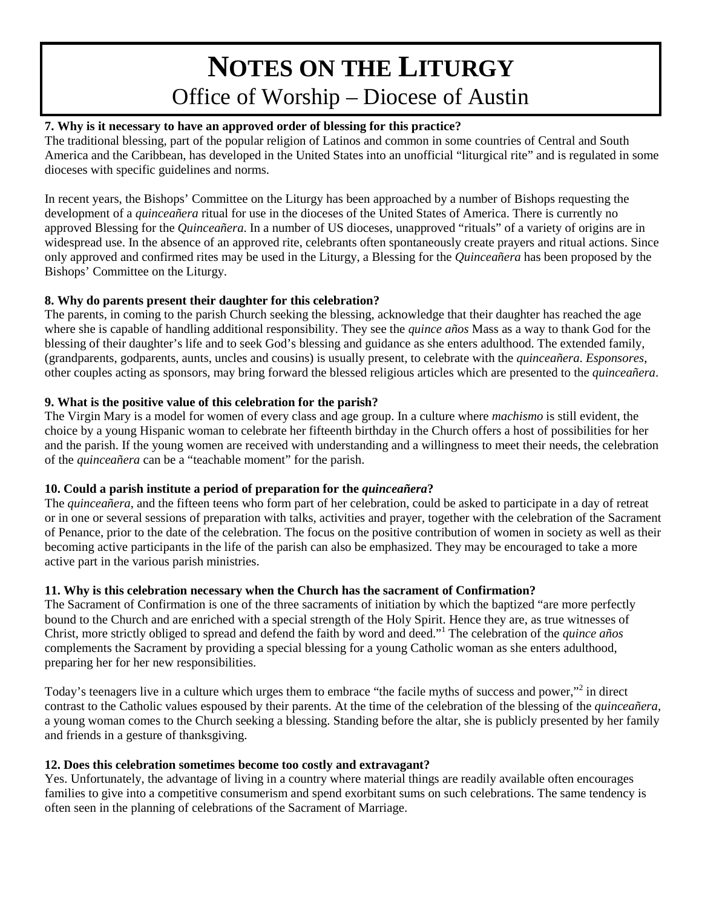# **NOTES ON THE LITURGY** Office of Worship – Diocese of Austin

# **7. Why is it necessary to have an approved order of blessing for this practice?**

The traditional blessing, part of the popular religion of Latinos and common in some countries of Central and South America and the Caribbean, has developed in the United States into an unofficial "liturgical rite" and is regulated in some dioceses with specific guidelines and norms.

In recent years, the Bishops' Committee on the Liturgy has been approached by a number of Bishops requesting the development of a *quinceañera* ritual for use in the dioceses of the United States of America. There is currently no approved Blessing for the *Quinceañera*. In a number of US dioceses, unapproved "rituals" of a variety of origins are in widespread use. In the absence of an approved rite, celebrants often spontaneously create prayers and ritual actions. Since only approved and confirmed rites may be used in the Liturgy, a Blessing for the *Quinceañera* has been proposed by the Bishops' Committee on the Liturgy.

# **8. Why do parents present their daughter for this celebration?**

The parents, in coming to the parish Church seeking the blessing, acknowledge that their daughter has reached the age where she is capable of handling additional responsibility. They see the *quince años* Mass as a way to thank God for the blessing of their daughter's life and to seek God's blessing and guidance as she enters adulthood. The extended family, (grandparents, godparents, aunts, uncles and cousins) is usually present, to celebrate with the *quinceañera*. *Esponsores*, other couples acting as sponsors, may bring forward the blessed religious articles which are presented to the *quinceañera*.

### **9. What is the positive value of this celebration for the parish?**

The Virgin Mary is a model for women of every class and age group. In a culture where *machismo* is still evident, the choice by a young Hispanic woman to celebrate her fifteenth birthday in the Church offers a host of possibilities for her and the parish. If the young women are received with understanding and a willingness to meet their needs, the celebration of the *quinceañera* can be a "teachable moment" for the parish.

# **10. Could a parish institute a period of preparation for the** *quinceañera***?**

The *quinceañera*, and the fifteen teens who form part of her celebration, could be asked to participate in a day of retreat or in one or several sessions of preparation with talks, activities and prayer, together with the celebration of the Sacrament of Penance, prior to the date of the celebration. The focus on the positive contribution of women in society as well as their becoming active participants in the life of the parish can also be emphasized. They may be encouraged to take a more active part in the various parish ministries.

#### **11. Why is this celebration necessary when the Church has the sacrament of Confirmation?**

The Sacrament of Confirmation is one of the three sacraments of initiation by which the baptized "are more perfectly bound to the Church and are enriched with a special strength of the Holy Spirit. Hence they are, as true witnesses of Christ, more strictly obliged to spread and defend the faith by word and deed."<sup>1</sup> The celebration of the *quince años* complements the Sacrament by providing a special blessing for a young Catholic woman as she enters adulthood, preparing her for her new responsibilities.

Today's teenagers live in a culture which urges them to embrace "the facile myths of success and power,"<sup>2</sup> in direct contrast to the Catholic values espoused by their parents. At the time of the celebration of the blessing of the *quinceañera*, a young woman comes to the Church seeking a blessing. Standing before the altar, she is publicly presented by her family and friends in a gesture of thanksgiving.

# **12. Does this celebration sometimes become too costly and extravagant?**

Yes. Unfortunately, the advantage of living in a country where material things are readily available often encourages families to give into a competitive consumerism and spend exorbitant sums on such celebrations. The same tendency is often seen in the planning of celebrations of the Sacrament of Marriage.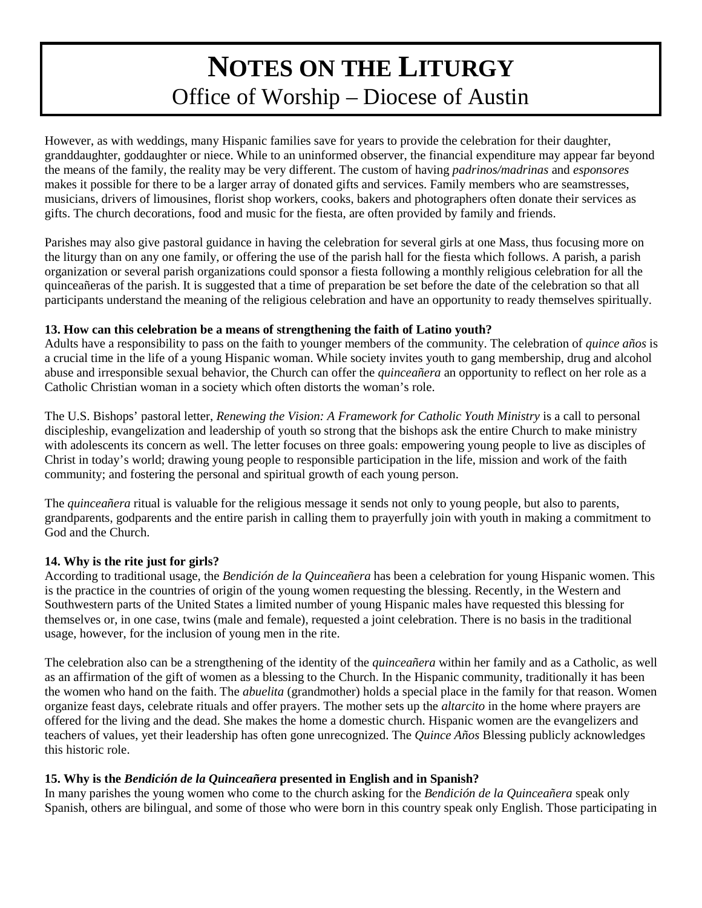# **NOTES ON THE LITURGY** Office of Worship – Diocese of Austin

However, as with weddings, many Hispanic families save for years to provide the celebration for their daughter, granddaughter, goddaughter or niece. While to an uninformed observer, the financial expenditure may appear far beyond the means of the family, the reality may be very different. The custom of having *padrinos/madrinas* and *esponsores* makes it possible for there to be a larger array of donated gifts and services. Family members who are seamstresses, musicians, drivers of limousines, florist shop workers, cooks, bakers and photographers often donate their services as gifts. The church decorations, food and music for the fiesta, are often provided by family and friends.

Parishes may also give pastoral guidance in having the celebration for several girls at one Mass, thus focusing more on the liturgy than on any one family, or offering the use of the parish hall for the fiesta which follows. A parish, a parish organization or several parish organizations could sponsor a fiesta following a monthly religious celebration for all the quinceañeras of the parish. It is suggested that a time of preparation be set before the date of the celebration so that all participants understand the meaning of the religious celebration and have an opportunity to ready themselves spiritually.

#### **13. How can this celebration be a means of strengthening the faith of Latino youth?**

Adults have a responsibility to pass on the faith to younger members of the community. The celebration of *quince años* is a crucial time in the life of a young Hispanic woman. While society invites youth to gang membership, drug and alcohol abuse and irresponsible sexual behavior, the Church can offer the *quinceañera* an opportunity to reflect on her role as a Catholic Christian woman in a society which often distorts the woman's role.

The U.S. Bishops' pastoral letter, *Renewing the Vision: A Framework for Catholic Youth Ministry* is a call to personal discipleship, evangelization and leadership of youth so strong that the bishops ask the entire Church to make ministry with adolescents its concern as well. The letter focuses on three goals: empowering young people to live as disciples of Christ in today's world; drawing young people to responsible participation in the life, mission and work of the faith community; and fostering the personal and spiritual growth of each young person.

The *quinceañera* ritual is valuable for the religious message it sends not only to young people, but also to parents, grandparents, godparents and the entire parish in calling them to prayerfully join with youth in making a commitment to God and the Church.

#### **14. Why is the rite just for girls?**

According to traditional usage, the *Bendición de la Quinceañera* has been a celebration for young Hispanic women. This is the practice in the countries of origin of the young women requesting the blessing. Recently, in the Western and Southwestern parts of the United States a limited number of young Hispanic males have requested this blessing for themselves or, in one case, twins (male and female), requested a joint celebration. There is no basis in the traditional usage, however, for the inclusion of young men in the rite.

The celebration also can be a strengthening of the identity of the *quinceañera* within her family and as a Catholic, as well as an affirmation of the gift of women as a blessing to the Church. In the Hispanic community, traditionally it has been the women who hand on the faith. The *abuelita* (grandmother) holds a special place in the family for that reason. Women organize feast days, celebrate rituals and offer prayers. The mother sets up the *altarcito* in the home where prayers are offered for the living and the dead. She makes the home a domestic church. Hispanic women are the evangelizers and teachers of values, yet their leadership has often gone unrecognized. The *Quince Años* Blessing publicly acknowledges this historic role.

#### **15. Why is the** *Bendición de la Quinceañera* **presented in English and in Spanish?**

In many parishes the young women who come to the church asking for the *Bendición de la Quinceañera* speak only Spanish, others are bilingual, and some of those who were born in this country speak only English. Those participating in